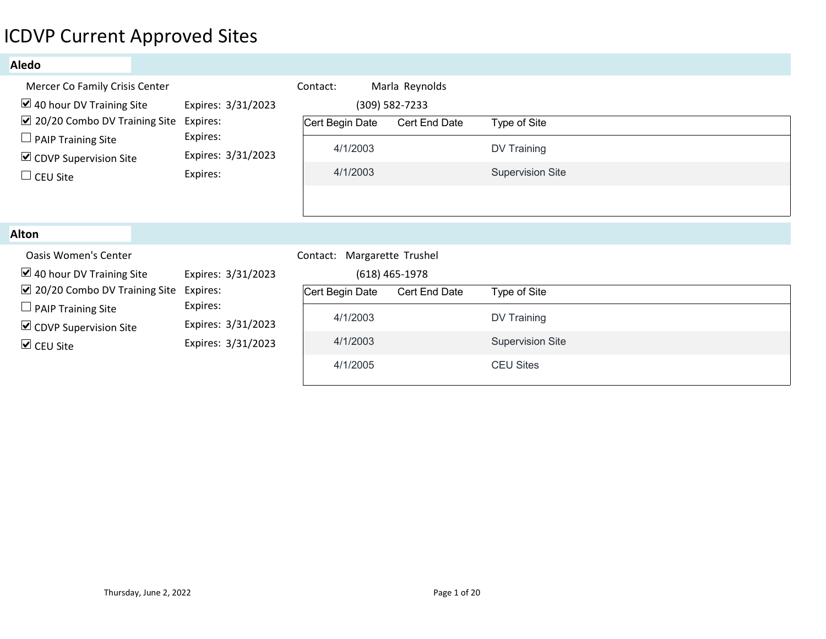# ICDVP Current Approved Sites

### Aledo

| <b>CDVP Current Approved Sites</b>                                                                                                                                                                           |                                                                              |                                                                                                  |                                                   |                                                                            |  |
|--------------------------------------------------------------------------------------------------------------------------------------------------------------------------------------------------------------|------------------------------------------------------------------------------|--------------------------------------------------------------------------------------------------|---------------------------------------------------|----------------------------------------------------------------------------|--|
| <b>Aledo</b>                                                                                                                                                                                                 |                                                                              |                                                                                                  |                                                   |                                                                            |  |
| Mercer Co Family Crisis Center<br>$\blacktriangleright$ 40 hour DV Training Site<br>☑ 20/20 Combo DV Training Site<br>$\Box$ PAIP Training Site<br>$\triangleright$ CDVP Supervision Site<br>$\Box$ CEU Site | Expires: 3/31/2023<br>Expires:<br>Expires:<br>Expires: 3/31/2023<br>Expires: | Contact:<br>Cert Begin Date<br>4/1/2003<br>4/1/2003                                              | Marla Reynolds<br>(309) 582-7233<br>Cert End Date | Type of Site<br>DV Training<br><b>Supervision Site</b>                     |  |
| <b>Alton</b>                                                                                                                                                                                                 |                                                                              |                                                                                                  |                                                   |                                                                            |  |
| <b>Oasis Women's Center</b><br>$\vee$ 40 hour DV Training Site<br>☑ 20/20 Combo DV Training Site Expires:<br>$\Box$ PAIP Training Site<br>$\triangleright$ CDVP Supervision Site<br>$\triangledown$ CEU Site | Expires: 3/31/2023<br>Expires:<br>Expires: 3/31/2023<br>Expires: 3/31/2023   | Contact: Margarette Trushel<br>Cert Begin Date Cert End Date<br>4/1/2003<br>4/1/2003<br>4/1/2005 | $(618)$ 465-1978                                  | Type of Site<br>DV Training<br><b>Supervision Site</b><br><b>CEU Sites</b> |  |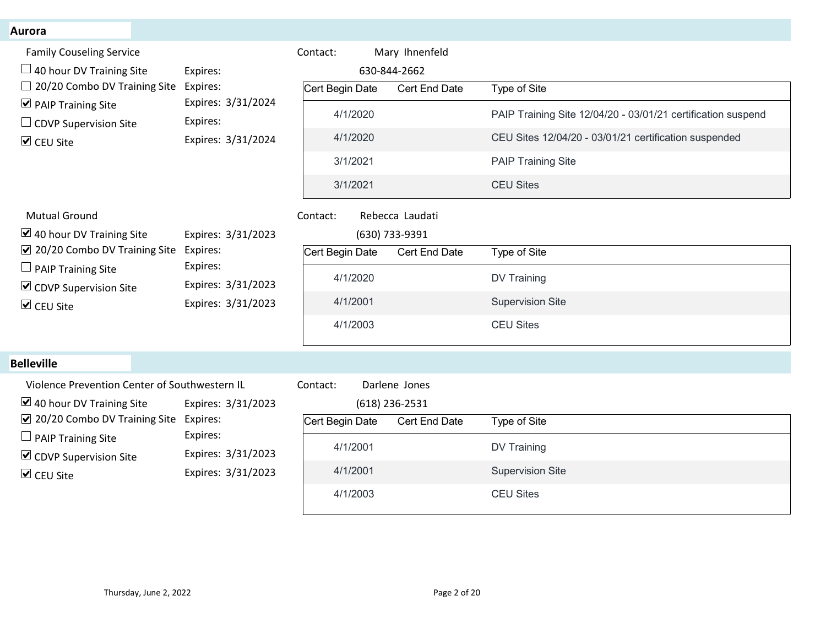#### Aurora

| <b>Aurora</b>                                                                                                           |                                                      |                                                                  |                               |                                                              |
|-------------------------------------------------------------------------------------------------------------------------|------------------------------------------------------|------------------------------------------------------------------|-------------------------------|--------------------------------------------------------------|
| <b>Family Couseling Service</b><br>$\Box$ 40 hour DV Training Site                                                      | Expires:                                             | Mary Ihnenfeld<br>Contact:<br>630-844-2662                       |                               |                                                              |
| $\Box$ 20/20 Combo DV Training Site<br>$\triangledown$ PAIP Training Site                                               | Expires:<br>Expires: 3/31/2024                       | Cert Begin Date                                                  | Type of Site<br>Cert End Date |                                                              |
| $\Box$ CDVP Supervision Site                                                                                            | Expires:                                             | 4/1/2020                                                         |                               | PAIP Training Site 12/04/20 - 03/01/21 certification suspend |
| <b>☑</b> CEU Site                                                                                                       | Expires: 3/31/2024                                   | 4/1/2020<br>3/1/2021                                             | <b>PAIP Training Site</b>     | CEU Sites 12/04/20 - 03/01/21 certification suspended        |
|                                                                                                                         |                                                      | 3/1/2021                                                         | <b>CEU Sites</b>              |                                                              |
| <b>Mutual Ground</b><br>$\triangleright$ 40 hour DV Training Site                                                       | Expires: 3/31/2023                                   | Rebecca Laudati<br>Contact:<br>(630) 733-9391                    |                               |                                                              |
| ☑ 20/20 Combo DV Training Site                                                                                          | Expires:                                             | Cert Begin Date                                                  | Type of Site<br>Cert End Date |                                                              |
| $\Box$ PAIP Training Site<br>$\triangleright$ CDVP Supervision Site                                                     | Expires:<br>Expires: 3/31/2023<br>Expires: 3/31/2023 | 4/1/2020                                                         | DV Training                   |                                                              |
| $\triangledown$ CEU Site                                                                                                |                                                      | 4/1/2001                                                         | <b>Supervision Site</b>       |                                                              |
|                                                                                                                         |                                                      | 4/1/2003                                                         | <b>CEU Sites</b>              |                                                              |
| <b>Belleville</b>                                                                                                       |                                                      |                                                                  |                               |                                                              |
| Violence Prevention Center of Southwestern IL<br>$\boxtimes$ 40 hour DV Training Site<br>☑ 20/20 Combo DV Training Site | Expires: 3/31/2023<br>Expires:                       | Contact:<br>Darlene Jones<br>$(618)$ 236-2531<br>Cert Begin Date | Cert End Date<br>Type of Site |                                                              |
| $\Box$ PAIP Training Site                                                                                               | Expires:                                             | 4/1/2001                                                         | DV Training                   |                                                              |
| $\triangleright$ CDVP Supervision Site                                                                                  | Expires: 3/31/2023                                   | 4/1/2001                                                         | Supervision Site              |                                                              |
| <b>☑</b> CEU Site                                                                                                       | Expires: 3/31/2023                                   | 4/1/2003                                                         |                               |                                                              |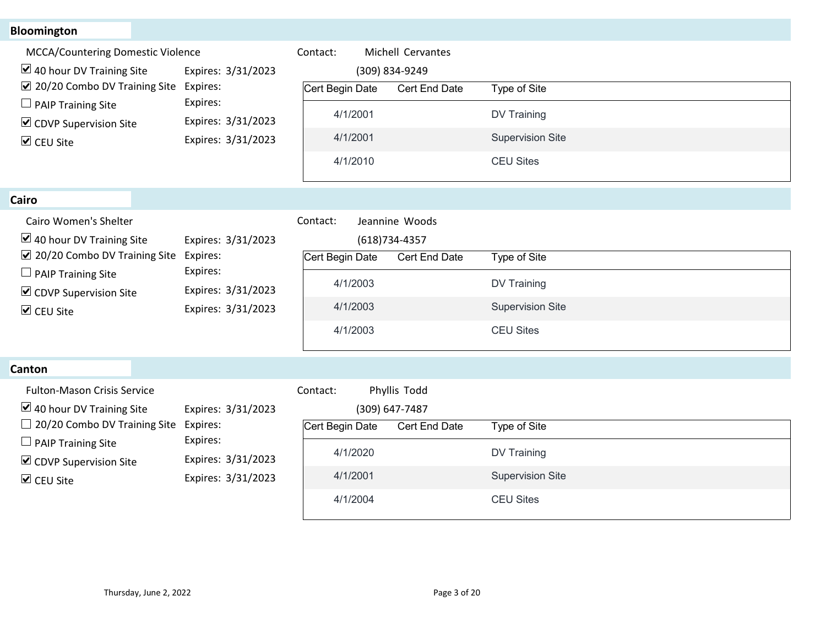## Bloomington

**Canton** 

| <b>Bloomington</b>                                                 |                                          |                               |                   |                         |  |
|--------------------------------------------------------------------|------------------------------------------|-------------------------------|-------------------|-------------------------|--|
| MCCA/Countering Domestic Violence                                  |                                          | Contact:                      | Michell Cervantes |                         |  |
| $\triangleright$ 40 hour DV Training Site                          | Expires: 3/31/2023                       |                               | (309) 834-9249    |                         |  |
| ☑ 20/20 Combo DV Training Site                                     | Expires:                                 | Cert Begin Date               | Cert End Date     | Type of Site            |  |
| $\Box$ PAIP Training Site                                          | Expires:                                 | 4/1/2001                      |                   | <b>DV Training</b>      |  |
| $\triangleright$ CDVP Supervision Site                             | Expires: 3/31/2023<br>Expires: 3/31/2023 | 4/1/2001                      |                   | <b>Supervision Site</b> |  |
| ☑ CEU Site                                                         |                                          | 4/1/2010                      |                   | <b>CEU Sites</b>        |  |
|                                                                    |                                          |                               |                   |                         |  |
| Cairo                                                              |                                          |                               |                   |                         |  |
| Cairo Women's Shelter                                              |                                          | Contact:                      | Jeannine Woods    |                         |  |
| $\vee$ 40 hour DV Training Site                                    | Expires: 3/31/2023                       |                               | $(618)734-4357$   |                         |  |
| ☑ 20/20 Combo DV Training Site                                     | Expires:<br>Expires:                     | Cert Begin Date Cert End Date |                   | Type of Site            |  |
| $\Box$ PAIP Training Site                                          | Expires: 3/31/2023                       | 4/1/2003                      |                   | <b>DV Training</b>      |  |
| $\triangleright$ CDVP Supervision Site<br>$\triangledown$ CEU Site | Expires: 3/31/2023                       | 4/1/2003                      |                   | <b>Supervision Site</b> |  |
|                                                                    |                                          | 4/1/2003                      |                   | <b>CEU Sites</b>        |  |
|                                                                    |                                          |                               |                   |                         |  |
| Canton                                                             |                                          |                               |                   |                         |  |
| Fulton-Mason Crisis Service                                        |                                          | Contact:                      | Phyllis Todd      |                         |  |
| $\triangleright$ 40 hour DV Training Site                          | Expires: 3/31/2023                       |                               | (309) 647-7487    |                         |  |
| $\Box$ 20/20 Combo DV Training Site                                | Expires:                                 | Cert Begin Date               | Cert End Date     | Type of Site            |  |
| $\Box$ PAIP Training Site                                          | Expires:                                 | 4/1/2020                      |                   | <b>DV Training</b>      |  |
| $\triangleright$ CDVP Supervision Site                             | Expires: 3/31/2023<br>Expires: 3/31/2023 | 4/1/2001                      |                   | <b>Supervision Site</b> |  |
| $\triangleright$ CEU Site                                          |                                          |                               |                   |                         |  |

| Cairo                                                                                                                                                                                                            |                                                                                        |                                                                                                                           |                                                                            |
|------------------------------------------------------------------------------------------------------------------------------------------------------------------------------------------------------------------|----------------------------------------------------------------------------------------|---------------------------------------------------------------------------------------------------------------------------|----------------------------------------------------------------------------|
| Cairo Women's Shelter<br>$\triangleright$ 40 hour DV Training Site<br>$\sqrt{2}$ 20/20 Combo DV Training Site<br>$\Box$ PAIP Training Site<br>$\triangleright$ CDVP Supervision Site<br>$\triangledown$ CEU Site | Expires: 3/31/2023<br>Expires:<br>Expires:<br>Expires: 3/31/2023<br>Expires: 3/31/2023 | Contact:<br>Jeannine Woods<br>$(618)734-4357$<br>Cert Begin Date<br>Cert End Date<br>4/1/2003<br>4/1/2003<br>4/1/2003     | Type of Site<br>DV Training<br><b>Supervision Site</b><br><b>CEU Sites</b> |
| <b>Canton</b>                                                                                                                                                                                                    |                                                                                        |                                                                                                                           |                                                                            |
| <b>Fulton-Mason Crisis Service</b><br>$\vee$ 40 hour DV Training Site<br>$\Box$ 20/20 Combo DV Training Site<br>$\Box$ PAIP Training Site<br>$\triangleright$ CDVP Supervision Site<br>$\triangledown$ CEU Site  | Expires: 3/31/2023<br>Expires:<br>Expires:<br>Expires: 3/31/2023<br>Expires: 3/31/2023 | Phyllis Todd<br>Contact:<br>(309) 647-7487<br>Cert Begin Date<br><b>Cert End Date</b><br>4/1/2020<br>4/1/2001<br>4/1/2004 | Type of Site<br>DV Training<br><b>Supervision Site</b><br><b>CEU Sites</b> |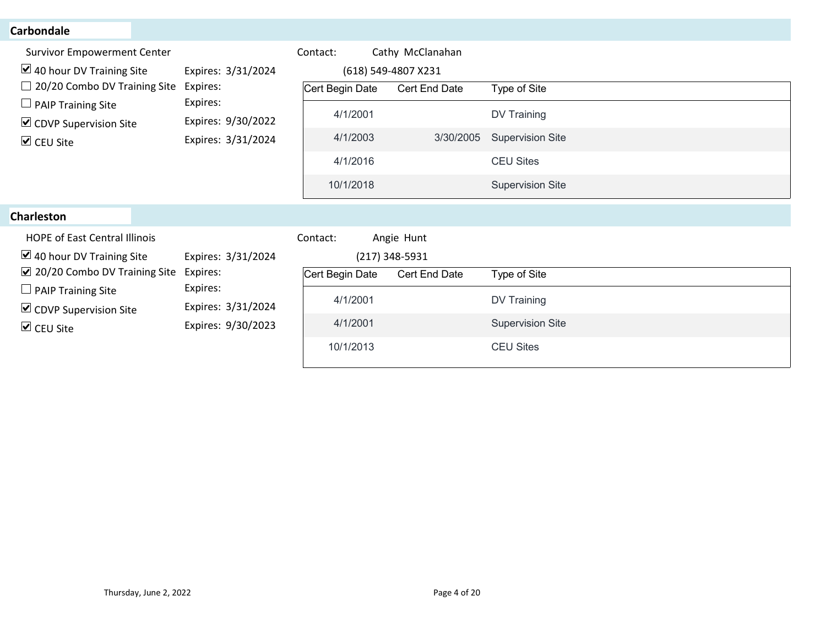| <b>Carbondale</b>                                                                                   |                                          |                 |                                 |  |                         |                         |  |
|-----------------------------------------------------------------------------------------------------|------------------------------------------|-----------------|---------------------------------|--|-------------------------|-------------------------|--|
| <b>Survivor Empowerment Center</b>                                                                  |                                          | Contact:        | Cathy McClanahan                |  |                         |                         |  |
| $\boxtimes$ 40 hour DV Training Site                                                                | Expires: 3/31/2024                       |                 | (618) 549-4807 X231             |  |                         |                         |  |
| $\Box$ 20/20 Combo DV Training Site                                                                 | Expires:<br>Expires:                     | Cert Begin Date | Cert End Date                   |  | Type of Site            |                         |  |
| $\Box$ PAIP Training Site<br>$\triangleright$ CDVP Supervision Site                                 | Expires: 9/30/2022<br>Expires: 3/31/2024 | 4/1/2001        |                                 |  | <b>DV Training</b>      |                         |  |
| $\triangledown$ CEU Site                                                                            |                                          |                 | 4/1/2003                        |  | 3/30/2005               | <b>Supervision Site</b> |  |
|                                                                                                     |                                          | 4/1/2016        |                                 |  | <b>CEU Sites</b>        |                         |  |
|                                                                                                     |                                          | 10/1/2018       |                                 |  | <b>Supervision Site</b> |                         |  |
| <b>Charleston</b>                                                                                   |                                          |                 |                                 |  |                         |                         |  |
| <b>HOPE of East Central Illinois</b>                                                                |                                          | Contact:        | Angie Hunt                      |  |                         |                         |  |
| $\blacktriangleright$ 40 hour DV Training Site<br>$\boxtimes$ 20/20 Combo DV Training Site Expires: | Expires: 3/31/2024                       | Cert Begin Date | (217) 348-5931<br>Cert End Date |  | Type of Site            |                         |  |
| $\Box$ PAIP Training Site                                                                           | Expires:                                 | 4/1/2001        |                                 |  | DV Training             |                         |  |
| $\triangleright$ CDVP Supervision Site                                                              | Expires: 3/31/2024                       |                 |                                 |  |                         |                         |  |
| $\triangledown$ CEU Site                                                                            | Expires: 9/30/2023                       | 4/1/2001        |                                 |  | <b>Supervision Site</b> |                         |  |
|                                                                                                     |                                          | 10/1/2013       |                                 |  | <b>CEU Sites</b>        |                         |  |
|                                                                                                     |                                          |                 |                                 |  |                         |                         |  |
|                                                                                                     |                                          |                 |                                 |  |                         |                         |  |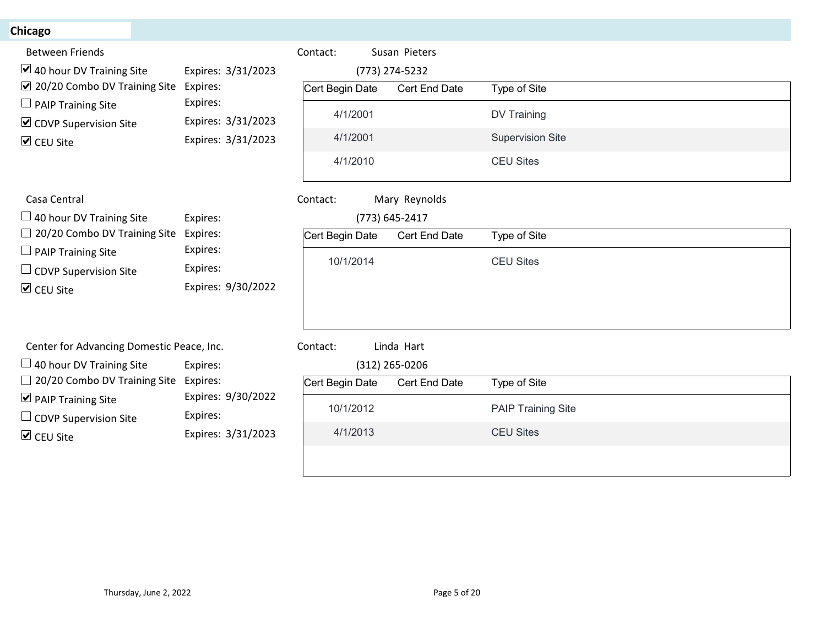# **Chicago**

| hicago <sup>-</sup>                                                          |                                          |                 |                |                           |  |
|------------------------------------------------------------------------------|------------------------------------------|-----------------|----------------|---------------------------|--|
| <b>Between Friends</b>                                                       |                                          | Contact:        | Susan Pieters  |                           |  |
| $\blacktriangleright$ 40 hour DV Training Site                               | Expires: 3/31/2023                       |                 | (773) 274-5232 |                           |  |
| $\vee$ 20/20 Combo DV Training Site                                          | Expires:                                 | Cert Begin Date | Cert End Date  | Type of Site              |  |
| $\Box$ PAIP Training Site                                                    | Expires:                                 | 4/1/2001        |                | DV Training               |  |
| $\triangleright$ CDVP Supervision Site                                       | Expires: 3/31/2023<br>Expires: 3/31/2023 | 4/1/2001        |                | <b>Supervision Site</b>   |  |
| $\triangledown$ CEU Site                                                     |                                          | 4/1/2010        |                | <b>CEU Sites</b>          |  |
|                                                                              |                                          |                 |                |                           |  |
| Casa Central                                                                 |                                          | Contact:        | Mary Reynolds  |                           |  |
| $\Box$ 40 hour DV Training Site                                              | Expires:                                 |                 | (773) 645-2417 |                           |  |
| $\Box$ 20/20 Combo DV Training Site<br>$\Box$ PAIP Training Site             | Expires:<br>Expires:                     | Cert Begin Date | Cert End Date  | Type of Site              |  |
| $\Box$ CDVP Supervision Site                                                 | Expires:                                 | 10/1/2014       |                | <b>CEU Sites</b>          |  |
| $\triangledown$ CEU Site                                                     | Expires: 9/30/2022                       |                 |                |                           |  |
|                                                                              |                                          |                 |                |                           |  |
|                                                                              |                                          | Contact:        | Linda Hart     |                           |  |
| Center for Advancing Domestic Peace, Inc.<br>$\Box$ 40 hour DV Training Site | Expires:                                 |                 | (312) 265-0206 |                           |  |
| $\Box$ 20/20 Combo DV Training Site                                          | Expires:                                 | Cert Begin Date | Cert End Date  | Type of Site              |  |
| $\triangleright$ PAIP Training Site                                          | Expires: 9/30/2022                       | 10/1/2012       |                | <b>PAIP Training Site</b> |  |
| $\Box$ CDVP Supervision Site                                                 | Expires:                                 |                 |                |                           |  |
| $\triangleright$ CEU Site                                                    | Expires: 3/31/2023                       | 4/1/2013        |                | <b>CEU Sites</b>          |  |
|                                                                              |                                          |                 |                |                           |  |
|                                                                              |                                          |                 |                |                           |  |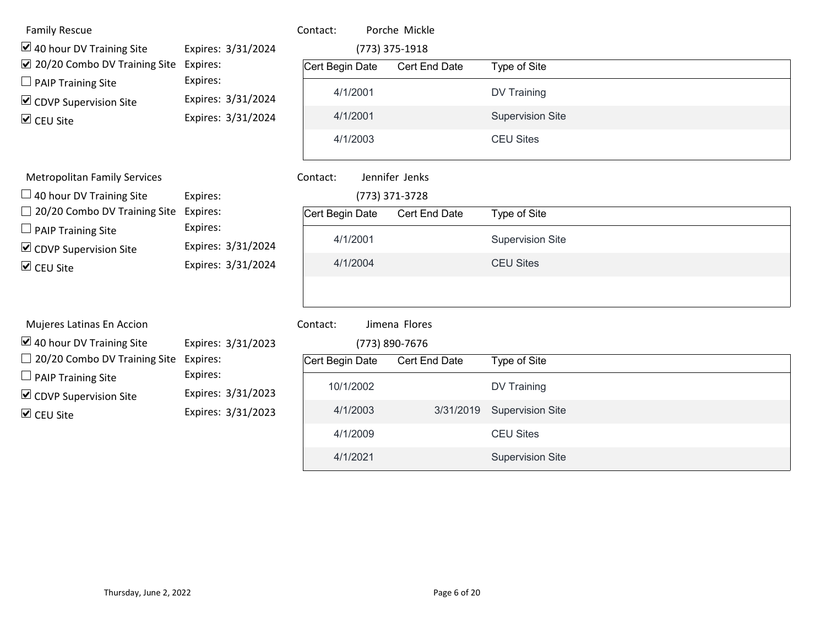| <b>Family Rescue</b>                                                        |                                          | Contact:        | Porche Mickle                   |                         |  |
|-----------------------------------------------------------------------------|------------------------------------------|-----------------|---------------------------------|-------------------------|--|
| $\triangleright$ 40 hour DV Training Site<br>☑ 20/20 Combo DV Training Site | Expires: 3/31/2024<br>Expires:           | Cert Begin Date | (773) 375-1918<br>Cert End Date | Type of Site            |  |
| $\Box$ PAIP Training Site                                                   | Expires:                                 | 4/1/2001        |                                 | DV Training             |  |
| $\triangleright$ CDVP Supervision Site<br>$\triangledown$ CEU Site          | Expires: 3/31/2024<br>Expires: 3/31/2024 | 4/1/2001        |                                 | <b>Supervision Site</b> |  |
|                                                                             |                                          | 4/1/2003        |                                 | <b>CEU Sites</b>        |  |
| <b>Metropolitan Family Services</b>                                         |                                          | Contact:        | Jennifer Jenks                  |                         |  |
| $\Box$ 40 hour DV Training Site                                             | Expires:                                 |                 | (773) 371-3728                  |                         |  |
| $\Box$ 20/20 Combo DV Training Site<br>$\Box$ PAIP Training Site            | Expires:<br>Expires:                     | Cert Begin Date | Cert End Date                   | Type of Site            |  |
| $\triangledown$ CDVP Supervision Site                                       | Expires: 3/31/2024                       | 4/1/2001        |                                 | <b>Supervision Site</b> |  |
| $\triangledown$ CEU Site                                                    | Expires: 3/31/2024                       | 4/1/2004        |                                 | <b>CEU Sites</b>        |  |
| Mujeres Latinas En Accion                                                   |                                          | Contact:        | Jimena Flores                   |                         |  |
| $\triangleright$ 40 hour DV Training Site                                   | Expires: 3/31/2023                       |                 | (773) 890-7676                  |                         |  |
| $\Box$ 20/20 Combo DV Training Site Expires:                                |                                          | Cert Begin Date | Cert End Date                   | Type of Site            |  |
| $\Box$ PAIP Training Site<br>$\triangleright$ CDVP Supervision Site         | Expires:<br>Expires: 3/31/2023           | 10/1/2002       |                                 | DV Training             |  |
| $\triangleright$ CEU Site                                                   | Expires: 3/31/2023                       | 4/1/2003        | 3/31/2019                       | <b>Supervision Site</b> |  |
|                                                                             |                                          | 4/1/2009        |                                 | <b>CEU Sites</b>        |  |
|                                                                             |                                          |                 |                                 |                         |  |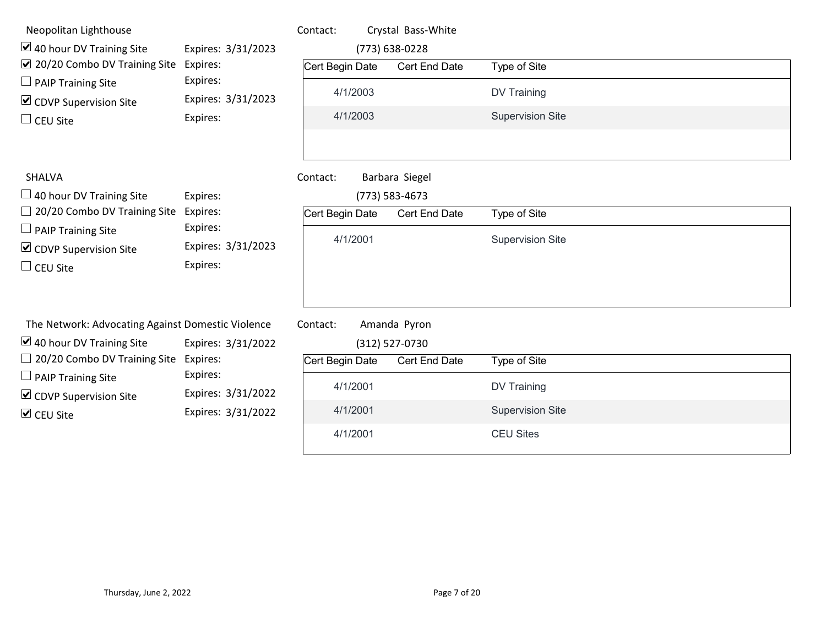| Neopolitan Lighthouse<br>$\triangleright$ 40 hour DV Training Site<br>☑ 20/20 Combo DV Training Site                                                                              | Expires: 3/31/2023<br>Expires:                                     | Contact:<br>Cert Begin Date             | Crystal Bass-White<br>(773) 638-0228<br>Cert End Date | Type of Site                            |
|-----------------------------------------------------------------------------------------------------------------------------------------------------------------------------------|--------------------------------------------------------------------|-----------------------------------------|-------------------------------------------------------|-----------------------------------------|
| $\Box$ PAIP Training Site                                                                                                                                                         | Expires:                                                           | 4/1/2003                                |                                                       | <b>DV Training</b>                      |
| $\triangleright$ CDVP Supervision Site<br>$\Box$ CEU Site                                                                                                                         | Expires: 3/31/2023<br>Expires:                                     | 4/1/2003                                |                                                       | <b>Supervision Site</b>                 |
| <b>SHALVA</b><br>$\Box$ 40 hour DV Training Site<br>$\Box$ 20/20 Combo DV Training Site<br>$\Box$ PAIP Training Site<br>$\triangleright$ CDVP Supervision Site<br>$\Box$ CEU Site | Expires:<br>Expires:<br>Expires:<br>Expires: 3/31/2023<br>Expires: | Contact:<br>Cert Begin Date<br>4/1/2001 | Barbara Siegel<br>(773) 583-4673<br>Cert End Date     | Type of Site<br><b>Supervision Site</b> |
| The Network: Advocating Against Domestic Violence                                                                                                                                 |                                                                    | Contact:                                | Amanda Pyron                                          |                                         |
| $\triangleright$ 40 hour DV Training Site<br>$\Box$ 20/20 Combo DV Training Site                                                                                                  | Expires: 3/31/2022<br>Expires:                                     |                                         | (312) 527-0730                                        |                                         |
| $\Box$ PAIP Training Site                                                                                                                                                         | Expires:                                                           | Cert Begin Date                         | Cert End Date                                         | Type of Site                            |
| $\triangleright$ CDVP Supervision Site                                                                                                                                            | Expires: 3/31/2022                                                 | 4/1/2001                                |                                                       | <b>DV Training</b>                      |
| $\triangledown$ CEU Site                                                                                                                                                          | Expires: 3/31/2022                                                 | 4/1/2001                                |                                                       | <b>Supervision Site</b>                 |
|                                                                                                                                                                                   |                                                                    | 4/1/2001                                |                                                       | <b>CEU Sites</b>                        |
|                                                                                                                                                                                   |                                                                    |                                         |                                                       |                                         |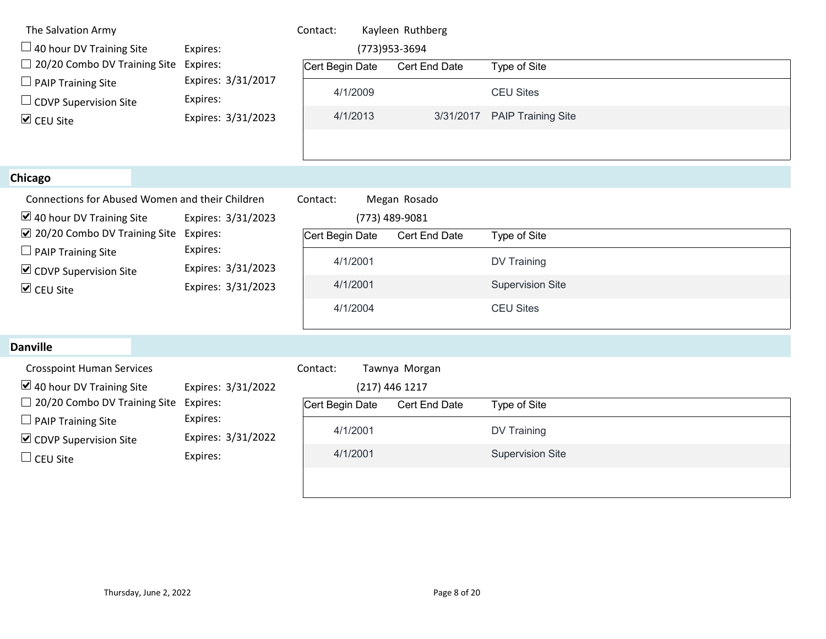| The Salvation Army<br>$\Box$ 40 hour DV Training Site                | Expires:                       | Contact:        | Kayleen Ruthberg<br>(773) 953-3694 |                           |  |
|----------------------------------------------------------------------|--------------------------------|-----------------|------------------------------------|---------------------------|--|
| $\Box$ 20/20 Combo DV Training Site                                  | Expires:                       | Cert Begin Date | Cert End Date                      | Type of Site              |  |
| $\Box$ PAIP Training Site<br>$\Box$ CDVP Supervision Site            | Expires: 3/31/2017<br>Expires: | 4/1/2009        |                                    | <b>CEU Sites</b>          |  |
| $\triangledown$ CEU Site                                             | Expires: 3/31/2023             | 4/1/2013        | 3/31/2017                          | <b>PAIP Training Site</b> |  |
|                                                                      |                                |                 |                                    |                           |  |
| <b>Chicago</b>                                                       |                                |                 |                                    |                           |  |
| Connections for Abused Women and their Children                      |                                | Contact:        | Megan Rosado                       |                           |  |
| $\triangleright$ 40 hour DV Training Site                            | Expires: 3/31/2023             |                 | (773) 489-9081                     |                           |  |
| ☑ 20/20 Combo DV Training Site Expires:<br>$\Box$ PAIP Training Site | Expires:                       | Cert Begin Date | Cert End Date                      | Type of Site              |  |
| $\triangleright$ CDVP Supervision Site                               | Expires: 3/31/2023             | 4/1/2001        |                                    | DV Training               |  |
| $\triangledown$ CEU Site                                             | Expires: 3/31/2023             | 4/1/2001        |                                    | <b>Supervision Site</b>   |  |
|                                                                      |                                | 4/1/2004        |                                    | <b>CEU Sites</b>          |  |
| <b>Danville</b>                                                      |                                |                 |                                    |                           |  |
| <b>Crosspoint Human Services</b>                                     |                                | Contact:        | Tawnya Morgan                      |                           |  |
| $\triangleright$ 40 hour DV Training Site                            | Expires: 3/31/2022             |                 | (217) 446 1217                     |                           |  |
| $\Box$ 20/20 Combo DV Training Site                                  | Expires:<br>Expires:           | Cert Begin Date | Cert End Date                      | Type of Site              |  |
| $\Box$ PAIP Training Site<br>$\triangleright$ CDVP Supervision Site  | Expires: 3/31/2022             | 4/1/2001        |                                    | DV Training               |  |
| $\Box$ CEU Site                                                      | Expires:                       | 4/1/2001        |                                    | <b>Supervision Site</b>   |  |
|                                                                      |                                |                 |                                    |                           |  |
|                                                                      |                                |                 |                                    |                           |  |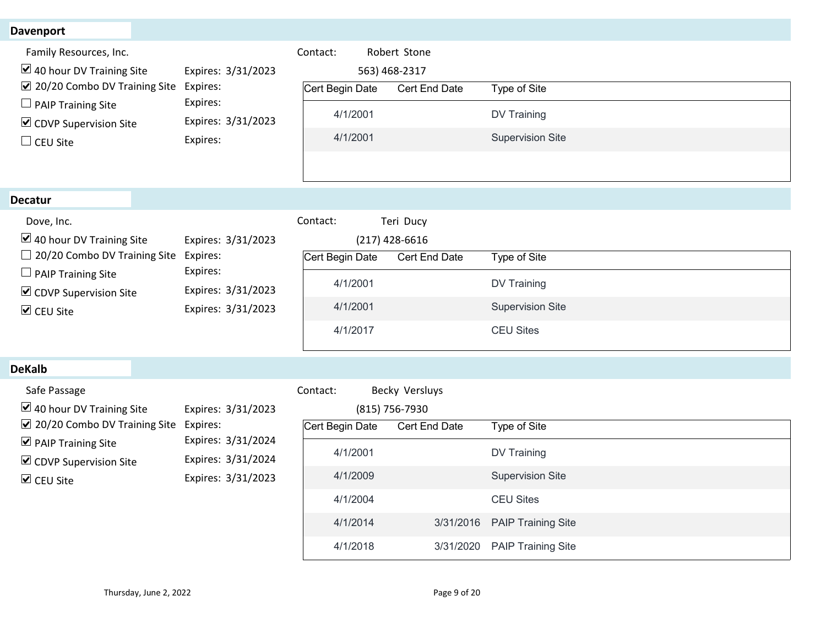| <b>Davenport</b>                               |                                          |                               |                  |                           |  |
|------------------------------------------------|------------------------------------------|-------------------------------|------------------|---------------------------|--|
| Family Resources, Inc.                         |                                          | Contact:                      | Robert Stone     |                           |  |
| $\triangleright$ 40 hour DV Training Site      | Expires: 3/31/2023                       |                               | 563) 468-2317    |                           |  |
| ☑ 20/20 Combo DV Training Site                 | Expires:                                 | Cert Begin Date               | Cert End Date    | Type of Site              |  |
| $\Box$ PAIP Training Site                      | Expires:<br>Expires: 3/31/2023           | 4/1/2001                      |                  | DV Training               |  |
| ☑ CDVP Supervision Site                        | Expires:                                 | 4/1/2001                      |                  | <b>Supervision Site</b>   |  |
| $\Box$ CEU Site                                |                                          |                               |                  |                           |  |
|                                                |                                          |                               |                  |                           |  |
| <b>Decatur</b>                                 |                                          |                               |                  |                           |  |
| Dove, Inc.                                     |                                          | Contact:                      | Teri Ducy        |                           |  |
| $\vee$ 40 hour DV Training Site                | Expires: 3/31/2023                       |                               | $(217)$ 428-6616 |                           |  |
| $\Box$ 20/20 Combo DV Training Site Expires:   |                                          | Cert Begin Date Cert End Date |                  | Type of Site              |  |
| $\Box$ PAIP Training Site                      | Expires:                                 | 4/1/2001                      |                  | DV Training               |  |
| $\triangleright$ CDVP Supervision Site         | Expires: 3/31/2023<br>Expires: 3/31/2023 | 4/1/2001                      |                  | <b>Supervision Site</b>   |  |
| $\triangledown$ CEU Site                       |                                          |                               |                  |                           |  |
|                                                |                                          | 4/1/2017                      |                  | <b>CEU Sites</b>          |  |
| <b>DeKalb</b>                                  |                                          |                               |                  |                           |  |
| Safe Passage                                   |                                          | Contact:                      | Becky Versluys   |                           |  |
| $\blacktriangleright$ 40 hour DV Training Site | Expires: 3/31/2023                       |                               | (815) 756-7930   |                           |  |
| ☑ 20/20 Combo DV Training Site                 | Expires:<br>Expires: 3/31/2024           | Cert Begin Date               | Cert End Date    | Type of Site              |  |
| $\triangleright$ PAIP Training Site            |                                          | 4/1/2001                      |                  | DV Training               |  |
| $\triangleright$ CDVP Supervision Site         | Expires: 3/31/2024<br>Expires: 3/31/2023 | 4/1/2009                      |                  | <b>Supervision Site</b>   |  |
| $\triangledown$ CEU Site                       |                                          |                               |                  |                           |  |
|                                                |                                          | 4/1/2004                      |                  | <b>CEU Sites</b>          |  |
|                                                |                                          | 4/1/2014                      | 3/31/2016        | <b>PAIP Training Site</b> |  |
|                                                |                                          | 4/1/2018                      | 3/31/2020        | <b>PAIP Training Site</b> |  |
|                                                |                                          |                               |                  |                           |  |

#### DeKalb

| $\Box$ PAIP Training Site<br>$\triangleright$ CDVP Supervision Site<br>$\triangleright$ CEU Site                                                                                                                   | Expires:<br>Expires: 3/31/2023<br>Expires: 3/31/2023                                             | 4/1/2001<br>4/1/2001<br>4/1/2017                                                        |                                                                             | <b>DV Training</b><br><b>Supervision Site</b><br><b>CEU Sites</b>                                                                    |
|--------------------------------------------------------------------------------------------------------------------------------------------------------------------------------------------------------------------|--------------------------------------------------------------------------------------------------|-----------------------------------------------------------------------------------------|-----------------------------------------------------------------------------|--------------------------------------------------------------------------------------------------------------------------------------|
| <b>DeKalb</b>                                                                                                                                                                                                      |                                                                                                  |                                                                                         |                                                                             |                                                                                                                                      |
| Safe Passage<br>$\triangleright$ 40 hour DV Training Site<br>$\sqrt{2}$ 20/20 Combo DV Training Site<br>$\triangleright$ PAIP Training Site<br>$\triangleright$ CDVP Supervision Site<br>$\triangleright$ CEU Site | Expires: 3/31/2023<br>Expires:<br>Expires: 3/31/2024<br>Expires: 3/31/2024<br>Expires: 3/31/2023 | Contact:<br>Cert Begin Date<br>4/1/2001<br>4/1/2009<br>4/1/2004<br>4/1/2014<br>4/1/2018 | Becky Versluys<br>(815) 756-7930<br>Cert End Date<br>3/31/2016<br>3/31/2020 | Type of Site<br>DV Training<br><b>Supervision Site</b><br><b>CEU Sites</b><br><b>PAIP Training Site</b><br><b>PAIP Training Site</b> |
| Thursday, June 2, 2022                                                                                                                                                                                             |                                                                                                  |                                                                                         | Page 9 of 20                                                                |                                                                                                                                      |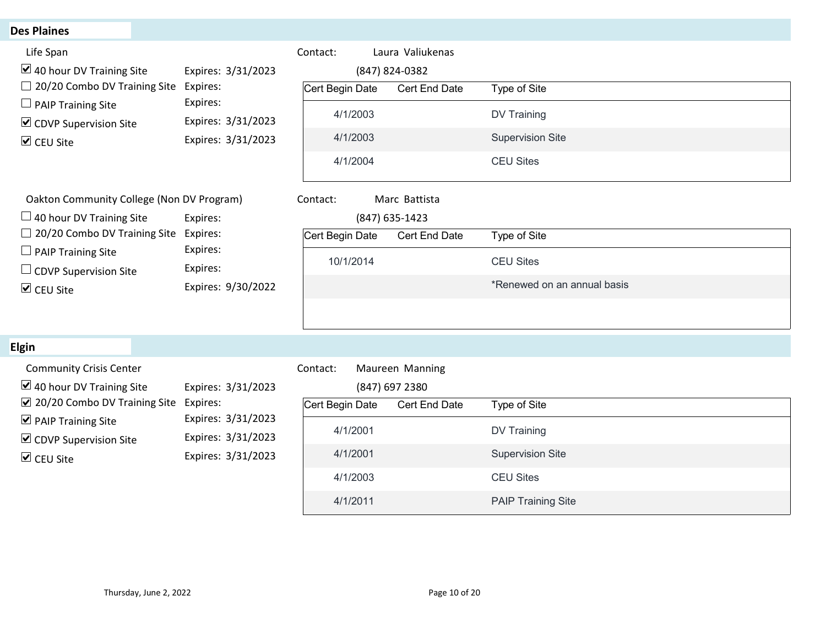| <b>Des Plaines</b><br>Life Span<br>Contact:<br>Laura Valiukenas<br>$\boxtimes$ 40 hour DV Training Site<br>Expires: 3/31/2023<br>(847) 824-0382<br>□ 20/20 Combo DV Training Site<br>Expires:<br>Cert Begin Date<br>Type of Site<br>Cert End Date<br>Expires:<br>$\Box$ PAIP Training Site<br>4/1/2003<br>DV Training<br>Expires: 3/31/2023<br>$\triangleright$ CDVP Supervision Site<br>4/1/2003<br><b>Supervision Site</b><br>Expires: 3/31/2023<br><b>☑</b> CEU Site<br><b>CEU Sites</b><br>4/1/2004<br>Oakton Community College (Non DV Program)<br>Contact:<br>Marc Battista<br>$\Box$ 40 hour DV Training Site<br>Expires:<br>(847) 635-1423<br>$\Box$ 20/20 Combo DV Training Site<br>Expires:<br>Cert Begin Date<br>Cert End Date<br>Type of Site<br>Expires:<br>$\Box$ PAIP Training Site<br>10/1/2014<br><b>CEU Sites</b><br>Expires:<br>$\Box$ CDVP Supervision Site<br>*Renewed on an annual basis<br>Expires: 9/30/2022<br>$\triangledown$ CEU Site<br><b>Elgin</b><br><b>Community Crisis Center</b><br>Maureen Manning<br>Contact:<br>$\triangleright$ 40 hour DV Training Site<br>Expires: 3/31/2023<br>(847) 697 2380<br>☑ 20/20 Combo DV Training Site<br>Expires:<br>Cert Begin Date<br>Type of Site<br>Cert End Date<br>Expires: 3/31/2023<br>$\triangleright$ PAIP Training Site<br>4/1/2001<br><b>DV Training</b><br>Expires: 3/31/2023<br>$\triangleright$ CDVP Supervision Site<br><b>Supervision Site</b><br>4/1/2001<br>Expires: 3/31/2023<br>$\triangledown$ CEU Site |  |          |                  |
|--------------------------------------------------------------------------------------------------------------------------------------------------------------------------------------------------------------------------------------------------------------------------------------------------------------------------------------------------------------------------------------------------------------------------------------------------------------------------------------------------------------------------------------------------------------------------------------------------------------------------------------------------------------------------------------------------------------------------------------------------------------------------------------------------------------------------------------------------------------------------------------------------------------------------------------------------------------------------------------------------------------------------------------------------------------------------------------------------------------------------------------------------------------------------------------------------------------------------------------------------------------------------------------------------------------------------------------------------------------------------------------------------------------------------------------------------------------------------------------------------|--|----------|------------------|
|                                                                                                                                                                                                                                                                                                                                                                                                                                                                                                                                                                                                                                                                                                                                                                                                                                                                                                                                                                                                                                                                                                                                                                                                                                                                                                                                                                                                                                                                                                  |  |          |                  |
|                                                                                                                                                                                                                                                                                                                                                                                                                                                                                                                                                                                                                                                                                                                                                                                                                                                                                                                                                                                                                                                                                                                                                                                                                                                                                                                                                                                                                                                                                                  |  |          |                  |
|                                                                                                                                                                                                                                                                                                                                                                                                                                                                                                                                                                                                                                                                                                                                                                                                                                                                                                                                                                                                                                                                                                                                                                                                                                                                                                                                                                                                                                                                                                  |  |          |                  |
|                                                                                                                                                                                                                                                                                                                                                                                                                                                                                                                                                                                                                                                                                                                                                                                                                                                                                                                                                                                                                                                                                                                                                                                                                                                                                                                                                                                                                                                                                                  |  |          |                  |
|                                                                                                                                                                                                                                                                                                                                                                                                                                                                                                                                                                                                                                                                                                                                                                                                                                                                                                                                                                                                                                                                                                                                                                                                                                                                                                                                                                                                                                                                                                  |  |          |                  |
|                                                                                                                                                                                                                                                                                                                                                                                                                                                                                                                                                                                                                                                                                                                                                                                                                                                                                                                                                                                                                                                                                                                                                                                                                                                                                                                                                                                                                                                                                                  |  |          |                  |
|                                                                                                                                                                                                                                                                                                                                                                                                                                                                                                                                                                                                                                                                                                                                                                                                                                                                                                                                                                                                                                                                                                                                                                                                                                                                                                                                                                                                                                                                                                  |  |          |                  |
| <b>PAIP Training Site</b><br>4/1/2011                                                                                                                                                                                                                                                                                                                                                                                                                                                                                                                                                                                                                                                                                                                                                                                                                                                                                                                                                                                                                                                                                                                                                                                                                                                                                                                                                                                                                                                            |  | 4/1/2003 | <b>CEU Sites</b> |

# Elgin

| $\Box$ 40 hour DV Training Site                                                                                                                                                                                                     | Expires:                                                                                         |                                                                             | (847) 635-1423                                     |                                                                                                         |
|-------------------------------------------------------------------------------------------------------------------------------------------------------------------------------------------------------------------------------------|--------------------------------------------------------------------------------------------------|-----------------------------------------------------------------------------|----------------------------------------------------|---------------------------------------------------------------------------------------------------------|
| $\Box$ 20/20 Combo DV Training Site<br>$\Box$ PAIP Training Site<br>$\Box$ CDVP Supervision Site<br>$\triangleright$ CEU Site                                                                                                       | Expires:<br>Expires:<br>Expires:<br>Expires: 9/30/2022                                           | Cert Begin Date<br>10/1/2014                                                | Cert End Date                                      | Type of Site<br><b>CEU Sites</b><br>*Renewed on an annual basis                                         |
| <b>Elgin</b>                                                                                                                                                                                                                        |                                                                                                  |                                                                             |                                                    |                                                                                                         |
| <b>Community Crisis Center</b><br>$\vert \angle$ 40 hour DV Training Site<br>$\boxtimes$ 20/20 Combo DV Training Site<br>$\triangleright$ PAIP Training Site<br>$\triangleright$ CDVP Supervision Site<br>$\triangleright$ CEU Site | Expires: 3/31/2023<br>Expires:<br>Expires: 3/31/2023<br>Expires: 3/31/2023<br>Expires: 3/31/2023 | Contact:<br>Cert Begin Date<br>4/1/2001<br>4/1/2001<br>4/1/2003<br>4/1/2011 | Maureen Manning<br>(847) 697 2380<br>Cert End Date | Type of Site<br>DV Training<br><b>Supervision Site</b><br><b>CEU Sites</b><br><b>PAIP Training Site</b> |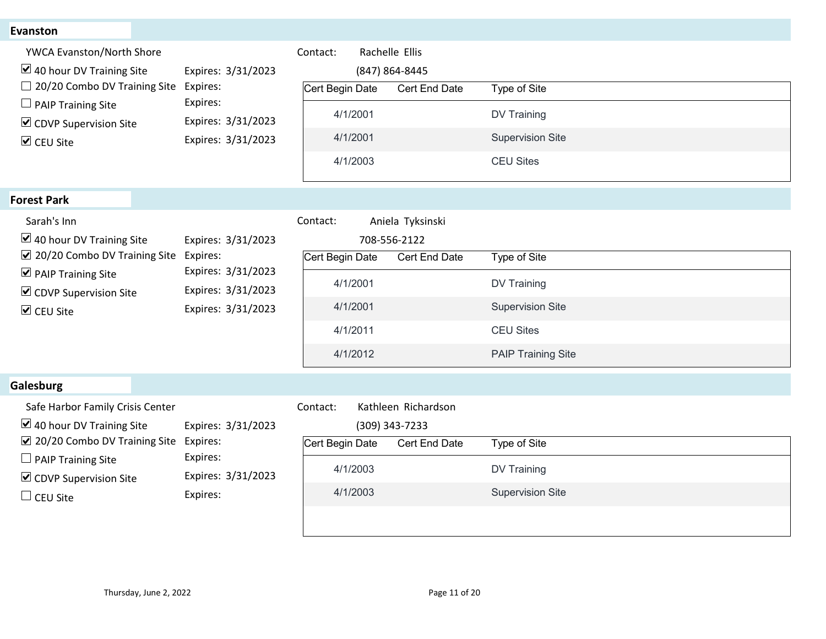| <b>Evanston</b>                                                                |                                |                                              |                           |  |
|--------------------------------------------------------------------------------|--------------------------------|----------------------------------------------|---------------------------|--|
| YWCA Evanston/North Shore<br>$\triangleright$ 40 hour DV Training Site         | Expires: 3/31/2023             | Rachelle Ellis<br>Contact:<br>(847) 864-8445 |                           |  |
| □ 20/20 Combo DV Training Site                                                 | Expires:                       | Cert Begin Date<br>Cert End Date             | Type of Site              |  |
| $\Box$ PAIP Training Site<br>☑ CDVP Supervision Site                           | Expires:<br>Expires: 3/31/2023 | 4/1/2001                                     | DV Training               |  |
| <b>▽</b> CEU Site                                                              | Expires: 3/31/2023             | 4/1/2001                                     | <b>Supervision Site</b>   |  |
|                                                                                |                                | 4/1/2003                                     | <b>CEU Sites</b>          |  |
| <b>Forest Park</b>                                                             |                                |                                              |                           |  |
| Sarah's Inn                                                                    |                                | Aniela Tyksinski<br>Contact:                 |                           |  |
| $\vee$ 40 hour DV Training Site<br>Expires: 3/31/2023                          | 708-556-2122                   |                                              |                           |  |
| ☑ 20/20 Combo DV Training Site Expires:<br>$\triangleright$ PAIP Training Site | Expires: 3/31/2023             | Cert Begin Date<br>Cert End Date             | Type of Site              |  |
| ☑ CDVP Supervision Site                                                        | Expires: 3/31/2023             | 4/1/2001                                     | <b>DV Training</b>        |  |
| $\triangledown$ CEU Site                                                       | Expires: 3/31/2023             | 4/1/2001                                     | <b>Supervision Site</b>   |  |
|                                                                                |                                | 4/1/2011                                     | <b>CEU Sites</b>          |  |
|                                                                                |                                | 4/1/2012                                     | <b>PAIP Training Site</b> |  |
| Galesburg                                                                      |                                |                                              |                           |  |
| Safe Harbor Family Crisis Center                                               |                                | Contact:<br>Kathleen Richardson              |                           |  |
| $\boxtimes$ 40 hour DV Training Site                                           | Expires: 3/31/2023             | (309) 343-7233                               |                           |  |
| ☑ 20/20 Combo DV Training Site<br>$\Box$ PAIP Training Site                    | Expires:<br>Expires:           | Cert Begin Date<br>Cert End Date             | Type of Site              |  |
| ☑ CDVP Supervision Site                                                        | Expires: 3/31/2023             | 4/1/2003                                     | DV Training               |  |
|                                                                                | Expires:                       | 4/1/2003                                     | <b>Supervision Site</b>   |  |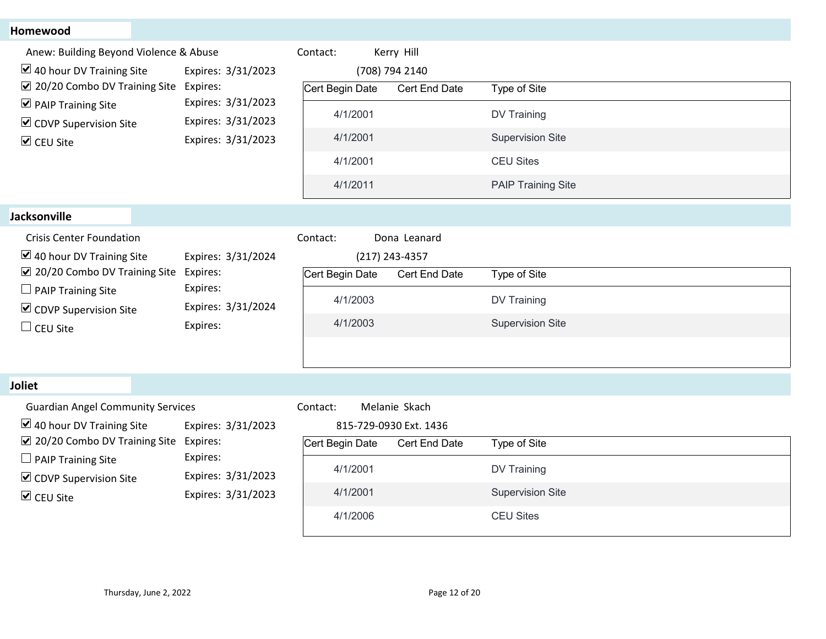## **Homewood**

| Homewood                                                              |                                          |                 |                        |                           |
|-----------------------------------------------------------------------|------------------------------------------|-----------------|------------------------|---------------------------|
| Anew: Building Beyond Violence & Abuse                                |                                          | Contact:        | Kerry Hill             |                           |
| $\boxtimes$ 40 hour DV Training Site                                  | Expires: 3/31/2023                       |                 | (708) 794 2140         |                           |
| ☑ 20/20 Combo DV Training Site<br>$\triangleright$ PAIP Training Site | Expires:<br>Expires: 3/31/2023           | Cert Begin Date | Cert End Date          | Type of Site              |
| $\triangleright$ CDVP Supervision Site                                | Expires: 3/31/2023                       | 4/1/2001        |                        | DV Training               |
| $\triangledown$ CEU Site                                              | Expires: 3/31/2023                       | 4/1/2001        |                        | <b>Supervision Site</b>   |
|                                                                       |                                          | 4/1/2001        |                        | <b>CEU Sites</b>          |
|                                                                       |                                          | 4/1/2011        |                        | <b>PAIP Training Site</b> |
| <b>Jacksonville</b>                                                   |                                          |                 |                        |                           |
| <b>Crisis Center Foundation</b>                                       |                                          | Contact:        | Dona Leanard           |                           |
| $\boxtimes$ 40 hour DV Training Site                                  | Expires: 3/31/2024                       |                 | (217) 243-4357         |                           |
| ☑ 20/20 Combo DV Training Site                                        | Expires:                                 | Cert Begin Date | Cert End Date          | Type of Site              |
| $\Box$ PAIP Training Site                                             | Expires:<br>Expires: 3/31/2024           | 4/1/2003        |                        | DV Training               |
| $\triangleright$ CDVP Supervision Site<br>$\Box$ CEU Site             | Expires:                                 | 4/1/2003        |                        | <b>Supervision Site</b>   |
|                                                                       |                                          |                 |                        |                           |
|                                                                       |                                          |                 |                        |                           |
| Joliet                                                                |                                          |                 |                        |                           |
| <b>Guardian Angel Community Services</b>                              |                                          | Contact:        | Melanie Skach          |                           |
| $\boxtimes$ 40 hour DV Training Site                                  | Expires: 3/31/2023                       |                 | 815-729-0930 Ext. 1436 |                           |
| ☑ 20/20 Combo DV Training Site                                        | Expires:                                 | Cert Begin Date | Cert End Date          | Type of Site              |
| $\Box$ PAIP Training Site                                             | Expires:                                 | 4/1/2001        |                        | DV Training               |
| $\triangleright$ CDVP Supervision Site                                | Expires: 3/31/2023<br>Expires: 3/31/2023 | 4/1/2001        |                        | <b>Supervision Site</b>   |
| $\triangledown$ CEU Site                                              |                                          |                 |                        | <b>CEU Sites</b>          |
|                                                                       |                                          | 4/1/2006        |                        |                           |

#### Joliet

| <b>Guardian Angel Community Services</b> |                    | Contact:        | Melanie Skach         |
|------------------------------------------|--------------------|-----------------|-----------------------|
| $\vee$ 40 hour DV Training Site          | Expires: 3/31/2023 |                 | 815-729-0930 Ext. 143 |
| $\sqrt{2}$ 20/20 Combo DV Training Site  | Expires:           | Cert Begin Date | Cert End I            |
| $\Box$ PAIP Training Site                | Expires:           |                 |                       |
| $\triangleright$ CDVP Supervision Site   | Expires: 3/31/2023 | 4/1/2001        |                       |
| $\triangleright$ CEU Site                | Expires: 3/31/2023 | 4/1/2001        |                       |
|                                          |                    |                 |                       |

|                | 815-729-0930 Ext. 1436 |                         |
|----------------|------------------------|-------------------------|
| ert Begin Date | Cert End Date          | Type of Site            |
| 4/1/2001       |                        | DV Training             |
| 4/1/2001       |                        | <b>Supervision Site</b> |
| 4/1/2006       |                        | <b>CEU Sites</b>        |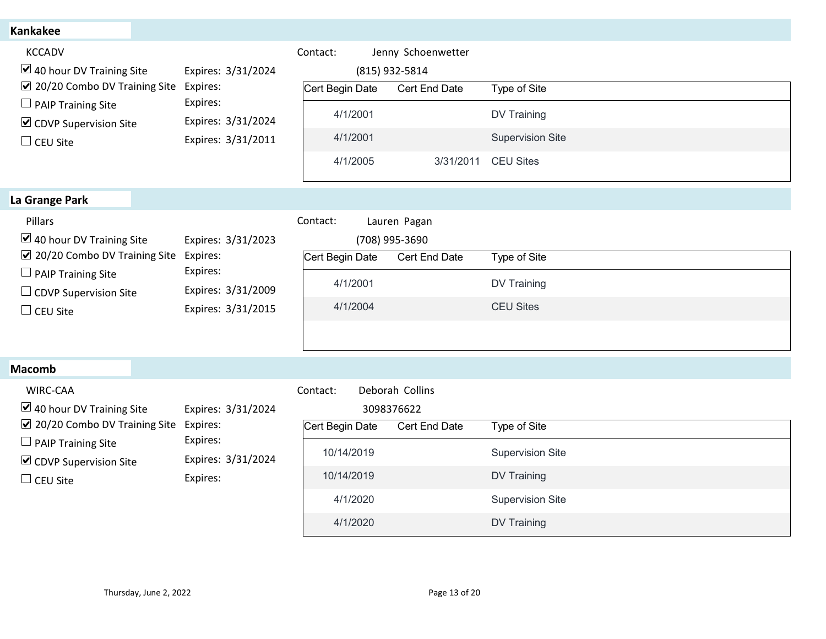| <b>Kankakee</b><br>KCCADV<br>Contact:<br>Jenny Schoenwetter<br>$\blacktriangleright$ 40 hour DV Training Site<br>Expires: 3/31/2024<br>(815) 932-5814<br>☑ 20/20 Combo DV Training Site<br>Expires:<br>Cert Begin Date<br>Type of Site<br>Cert End Date<br>Expires:<br>$\Box$ PAIP Training Site<br>4/1/2001<br>DV Training<br>Expires: 3/31/2024<br>☑ CDVP Supervision Site<br><b>Supervision Site</b><br>4/1/2001<br>Expires: 3/31/2011<br>$\Box$ CEU Site<br>4/1/2005<br><b>CEU Sites</b><br>3/31/2011<br>La Grange Park<br>Pillars<br>Contact:<br>Lauren Pagan<br>$\triangleright$ 40 hour DV Training Site<br>Expires: 3/31/2023<br>(708) 995-3690<br>☑ 20/20 Combo DV Training Site Expires:<br>Cert Begin Date Cert End Date<br>Type of Site<br>Expires:<br>$\Box$ PAIP Training Site<br><b>DV Training</b><br>4/1/2001<br>Expires: 3/31/2009<br>$\Box$ CDVP Supervision Site<br>4/1/2004<br><b>CEU Sites</b><br>Expires: 3/31/2015<br>$\Box$ CEU Site |  |
|---------------------------------------------------------------------------------------------------------------------------------------------------------------------------------------------------------------------------------------------------------------------------------------------------------------------------------------------------------------------------------------------------------------------------------------------------------------------------------------------------------------------------------------------------------------------------------------------------------------------------------------------------------------------------------------------------------------------------------------------------------------------------------------------------------------------------------------------------------------------------------------------------------------------------------------------------------------|--|
|                                                                                                                                                                                                                                                                                                                                                                                                                                                                                                                                                                                                                                                                                                                                                                                                                                                                                                                                                               |  |
|                                                                                                                                                                                                                                                                                                                                                                                                                                                                                                                                                                                                                                                                                                                                                                                                                                                                                                                                                               |  |
|                                                                                                                                                                                                                                                                                                                                                                                                                                                                                                                                                                                                                                                                                                                                                                                                                                                                                                                                                               |  |
|                                                                                                                                                                                                                                                                                                                                                                                                                                                                                                                                                                                                                                                                                                                                                                                                                                                                                                                                                               |  |
| <b>Macomb</b>                                                                                                                                                                                                                                                                                                                                                                                                                                                                                                                                                                                                                                                                                                                                                                                                                                                                                                                                                 |  |
| WIRC-CAA<br>Deborah Collins<br>Contact:<br>$\triangleright$ 40 hour DV Training Site<br>Expires: 3/31/2024<br>3098376622<br>☑ 20/20 Combo DV Training Site<br>Expires:<br>Cert Begin Date<br>Cert End Date<br>Type of Site<br>Expires:<br>$\Box$ PAIP Training Site<br><b>Supervision Site</b><br>10/14/2019<br>Expires: 3/31/2024<br>☑ CDVP Supervision Site<br>DV Training<br>10/14/2019<br>Expires:<br>$\Box$ CEU Site<br>4/1/2020<br><b>Supervision Site</b><br>DV Training<br>4/1/2020                                                                                                                                                                                                                                                                                                                                                                                                                                                                   |  |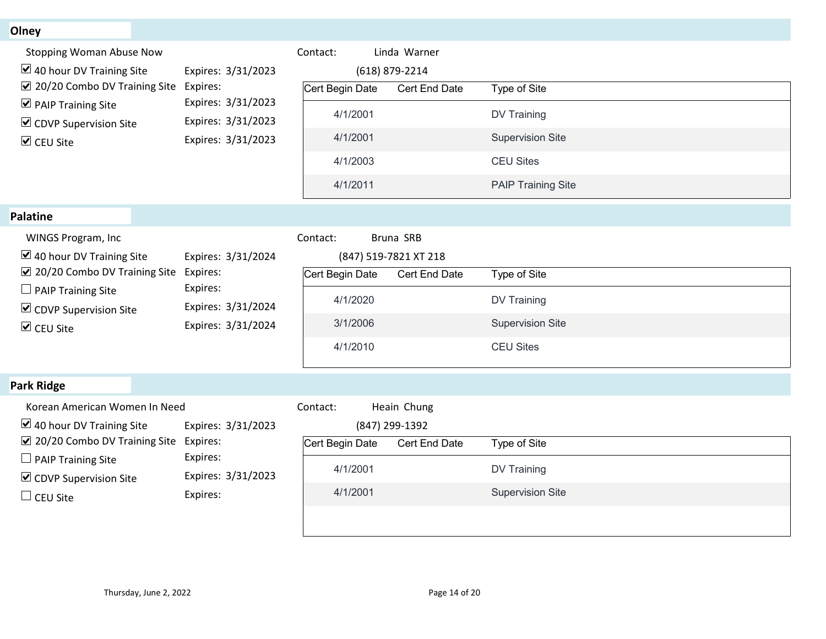| Olney                                                                  |                                |                                   |                  |                           |
|------------------------------------------------------------------------|--------------------------------|-----------------------------------|------------------|---------------------------|
| <b>Stopping Woman Abuse Now</b>                                        |                                | Contact:                          | Linda Warner     |                           |
| $\boxtimes$ 40 hour DV Training Site<br>☑ 20/20 Combo DV Training Site | Expires: 3/31/2023<br>Expires: | (618) 879-2214<br>Cert Begin Date | Cert End Date    | Type of Site              |
| $\triangleright$ PAIP Training Site                                    | Expires: 3/31/2023             |                                   |                  |                           |
| $\triangleright$ CDVP Supervision Site                                 | Expires: 3/31/2023             | 4/1/2001                          |                  | DV Training               |
| $\triangledown$ CEU Site                                               | Expires: 3/31/2023             | 4/1/2001                          |                  | <b>Supervision Site</b>   |
|                                                                        |                                | 4/1/2003                          |                  | <b>CEU Sites</b>          |
|                                                                        |                                | 4/1/2011                          |                  | <b>PAIP Training Site</b> |
| Palatine                                                               |                                |                                   |                  |                           |
| WINGS Program, Inc                                                     |                                | Bruna SRB<br>Contact:             |                  |                           |
| $\boxtimes$ 40 hour DV Training Site                                   | Expires: 3/31/2024             | (847) 519-7821 XT 218             |                  |                           |
| ☑ 20/20 Combo DV Training Site<br>$\Box$ PAIP Training Site            | Expires:<br>Expires:           | Cert Begin Date                   | Cert End Date    | Type of Site              |
| $\triangleright$ CDVP Supervision Site                                 | Expires: 3/31/2024             | 4/1/2020                          |                  | DV Training               |
| $\triangledown$ CEU Site                                               | Expires: 3/31/2024             | 3/1/2006                          |                  | <b>Supervision Site</b>   |
|                                                                        | 4/1/2010                       |                                   | <b>CEU Sites</b> |                           |
| Park Ridge                                                             |                                |                                   |                  |                           |
| Korean American Women In Need                                          |                                | Contact:                          | Heain Chung      |                           |
| $\blacktriangleright$ 40 hour DV Training Site                         | Expires: 3/31/2023             | (847) 299-1392                    |                  |                           |
| ☑ 20/20 Combo DV Training Site                                         | Expires:                       | Cert Begin Date                   | Cert End Date    | Type of Site              |
| $\Box$ PAIP Training Site                                              | Expires:<br>Expires: 3/31/2023 | 4/1/2001                          |                  | DV Training               |
| $\triangleright$ CDVP Supervision Site                                 | Expires:                       | 4/1/2001                          |                  | <b>Supervision Site</b>   |
| $\Box$ CEU Site                                                        |                                |                                   |                  |                           |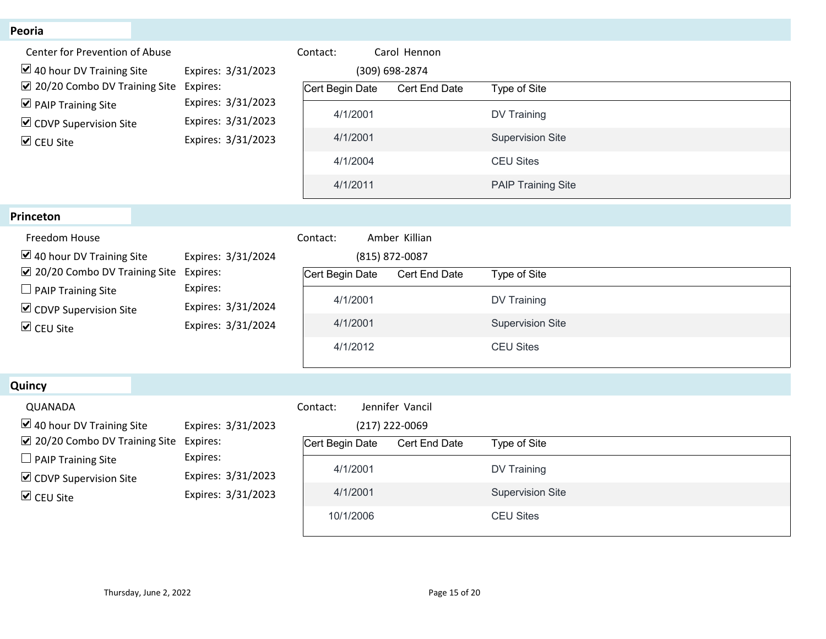| Peoria                                                                                            |                                |                 |                                 |                           |  |
|---------------------------------------------------------------------------------------------------|--------------------------------|-----------------|---------------------------------|---------------------------|--|
| Center for Prevention of Abuse                                                                    |                                | Contact:        | Carol Hennon                    |                           |  |
| $\triangleright$ 40 hour DV Training Site<br>☑ 20/20 Combo DV Training Site                       | Expires: 3/31/2023<br>Expires: | Cert Begin Date | (309) 698-2874<br>Cert End Date | Type of Site              |  |
| $\triangledown$ PAIP Training Site                                                                | Expires: 3/31/2023             | 4/1/2001        |                                 | DV Training               |  |
| $\triangleright$ CDVP Supervision Site                                                            | Expires: 3/31/2023             |                 |                                 |                           |  |
| <b>☑</b> CEU Site                                                                                 | Expires: 3/31/2023             | 4/1/2001        |                                 | <b>Supervision Site</b>   |  |
|                                                                                                   |                                | 4/1/2004        |                                 | <b>CEU Sites</b>          |  |
|                                                                                                   |                                | 4/1/2011        |                                 | <b>PAIP Training Site</b> |  |
| Princeton                                                                                         |                                |                 |                                 |                           |  |
| Freedom House                                                                                     |                                | Contact:        | Amber Killian                   |                           |  |
| $\triangleright$ 40 hour DV Training Site<br>$\boxed{\vee}$ 20/20 Combo DV Training Site Expires: | Expires: 3/31/2024             | Cert Begin Date | (815) 872-0087<br>Cert End Date | Type of Site              |  |
| $\Box$ PAIP Training Site                                                                         | Expires:                       |                 |                                 |                           |  |
| $\triangleright$ CDVP Supervision Site                                                            | Expires: 3/31/2024             | 4/1/2001        |                                 | <b>DV Training</b>        |  |
| $\triangledown$ CEU Site                                                                          | Expires: 3/31/2024             | 4/1/2001        |                                 | <b>Supervision Site</b>   |  |
|                                                                                                   |                                | 4/1/2012        |                                 | <b>CEU Sites</b>          |  |
| Quincy                                                                                            |                                |                 |                                 |                           |  |
| QUANADA                                                                                           |                                | Contact:        | Jennifer Vancil                 |                           |  |
| $\triangleright$ 40 hour DV Training Site                                                         | Expires: 3/31/2023             |                 | (217) 222-0069                  |                           |  |
| ☑ 20/20 Combo DV Training Site<br>$\Box$ PAIP Training Site                                       | Expires:<br>Expires:           | Cert Begin Date | Cert End Date                   | Type of Site              |  |
| ☑ CDVP Supervision Site                                                                           | Expires: 3/31/2023             | 4/1/2001        |                                 | <b>DV Training</b>        |  |
| $\triangledown$ CEU Site                                                                          | Expires: 3/31/2023             | 4/1/2001        |                                 | <b>Supervision Site</b>   |  |
|                                                                                                   |                                | 10/1/2006       |                                 | <b>CEU Sites</b>          |  |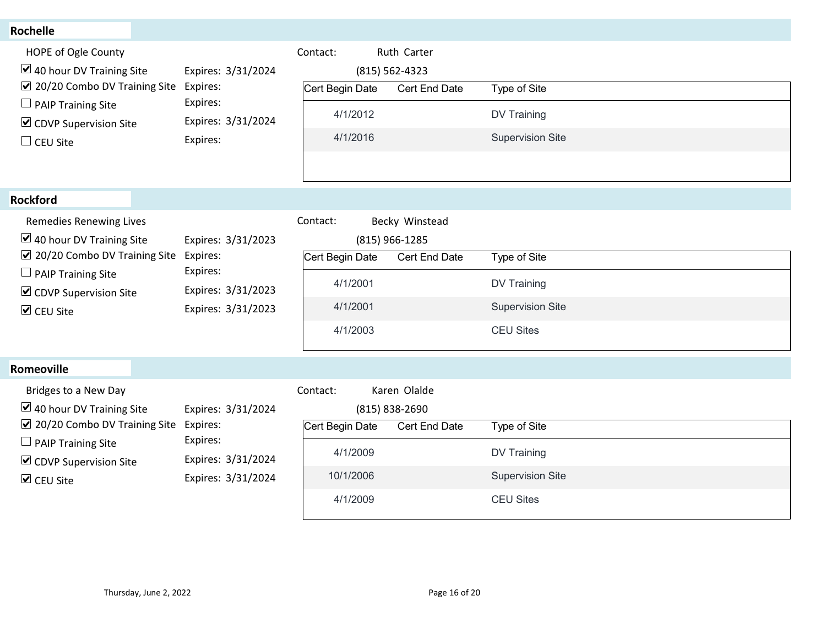| <b>Rochelle</b>                                                                                                                                                                                                    |                                                                              |                                                                 |                                                   |                                                                                   |
|--------------------------------------------------------------------------------------------------------------------------------------------------------------------------------------------------------------------|------------------------------------------------------------------------------|-----------------------------------------------------------------|---------------------------------------------------|-----------------------------------------------------------------------------------|
| HOPE of Ogle County<br>$\triangleright$ 40 hour DV Training Site<br>☑ 20/20 Combo DV Training Site<br>$\Box$ PAIP Training Site<br>$\triangleright$ CDVP Supervision Site<br>$\Box$ CEU Site                       | Expires: 3/31/2024<br>Expires:<br>Expires:<br>Expires: 3/31/2024<br>Expires: | Contact:<br>Cert Begin Date<br>4/1/2012<br>4/1/2016             | Ruth Carter<br>(815) 562-4323<br>Cert End Date    | Type of Site<br>DV Training<br><b>Supervision Site</b>                            |
| <b>Rockford</b>                                                                                                                                                                                                    |                                                                              |                                                                 |                                                   |                                                                                   |
| Remedies Renewing Lives<br>$\triangleright$ 40 hour DV Training Site<br>☑ 20/20 Combo DV Training Site Expires:<br>$\Box$ PAIP Training Site<br>$\triangleright$ CDVP Supervision Site<br>$\triangledown$ CEU Site | Expires: 3/31/2023<br>Expires:<br>Expires: 3/31/2023<br>Expires: 3/31/2023   | Contact:<br>Cert Begin Date<br>4/1/2001<br>4/1/2001<br>4/1/2003 | Becky Winstead<br>(815) 966-1285<br>Cert End Date | Type of Site<br><b>DV Training</b><br><b>Supervision Site</b><br><b>CEU Sites</b> |
| Romeoville                                                                                                                                                                                                         |                                                                              |                                                                 |                                                   |                                                                                   |
| Bridges to a New Day<br>$\triangleright$ 40 hour DV Training Site<br>☑ 20/20 Combo DV Training Site<br>$\Box$ PAIP Training Site<br>$\triangleright$ CDVP Supervision Site                                         | Expires: 3/31/2024<br>Expires:<br>Expires:<br>Expires: 3/31/2024             | Contact:<br>Cert Begin Date<br>4/1/2009                         | Karen Olalde<br>(815) 838-2690<br>Cert End Date   | Type of Site<br>DV Training                                                       |
| $\triangledown$ CEU Site                                                                                                                                                                                           | Expires: 3/31/2024                                                           | 10/1/2006                                                       |                                                   | <b>Supervision Site</b>                                                           |

#### Romeoville

| Rockford                                                                                                                                                                                                        |                                                                                        |                                                                                                                      |                                                                                   |  |
|-----------------------------------------------------------------------------------------------------------------------------------------------------------------------------------------------------------------|----------------------------------------------------------------------------------------|----------------------------------------------------------------------------------------------------------------------|-----------------------------------------------------------------------------------|--|
| Remedies Renewing Lives<br>$\vee$ 40 hour DV Training Site<br>☑ 20/20 Combo DV Training Site<br>$\Box$ PAIP Training Site<br>☑ CDVP Supervision Site<br>$\triangledown$ CEU Site                                | Expires: 3/31/2023<br>Expires:<br>Expires:<br>Expires: 3/31/2023<br>Expires: 3/31/2023 | Contact:<br>Becky Winstead<br>(815) 966-1285<br>Cert Begin Date<br>Cert End Date<br>4/1/2001<br>4/1/2001<br>4/1/2003 | Type of Site<br><b>DV Training</b><br><b>Supervision Site</b><br><b>CEU Sites</b> |  |
| Romeoville                                                                                                                                                                                                      |                                                                                        |                                                                                                                      |                                                                                   |  |
| Bridges to a New Day<br>$\triangleright$ 40 hour DV Training Site<br>$\sqrt{2}$ 20/20 Combo DV Training Site<br>$\Box$ PAIP Training Site<br>$\triangleright$ CDVP Supervision Site<br>$\triangledown$ CEU Site | Expires: 3/31/2024<br>Expires:<br>Expires:<br>Expires: 3/31/2024<br>Expires: 3/31/2024 | Karen Olalde<br>Contact:<br>(815) 838-2690<br>Cert Begin Date<br>Cert End Date<br>4/1/2009<br>10/1/2006<br>4/1/2009  | Type of Site<br>DV Training<br><b>Supervision Site</b><br><b>CEU Sites</b>        |  |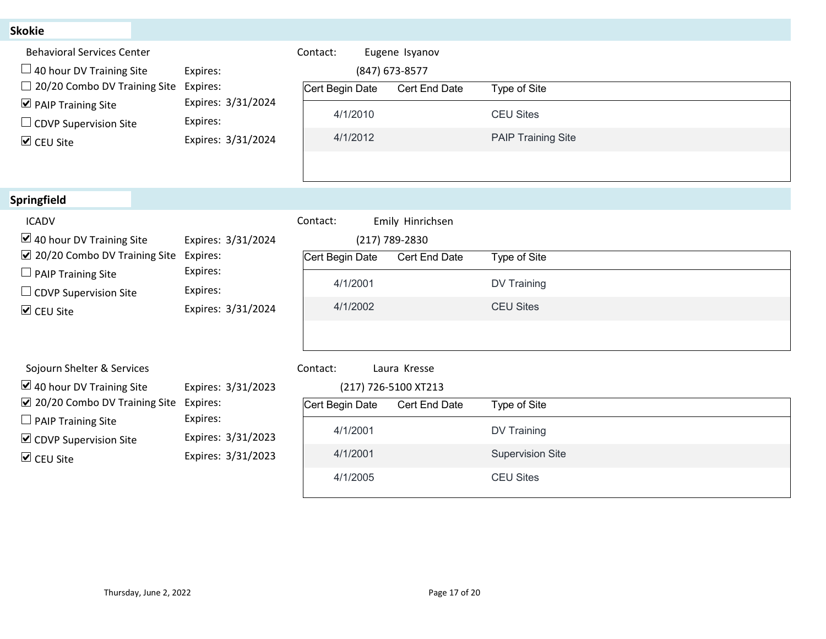| <b>Skokie</b>                                                              |                                          |                                                  |                           |
|----------------------------------------------------------------------------|------------------------------------------|--------------------------------------------------|---------------------------|
| <b>Behavioral Services Center</b>                                          |                                          | Eugene Isyanov<br>Contact:                       |                           |
| $\Box$ 40 hour DV Training Site                                            | Expires:                                 | (847) 673-8577                                   |                           |
| $\Box$ 20/20 Combo DV Training Site<br>$\triangleright$ PAIP Training Site | Expires:<br>Expires: 3/31/2024           | Cert Begin Date<br>Cert End Date                 | Type of Site              |
| $\Box$ CDVP Supervision Site                                               | Expires:                                 | 4/1/2010                                         | <b>CEU Sites</b>          |
| <b>▽</b> CEU Site                                                          | Expires: 3/31/2024                       | 4/1/2012                                         | <b>PAIP Training Site</b> |
|                                                                            |                                          |                                                  |                           |
| Springfield                                                                |                                          |                                                  |                           |
| <b>ICADV</b>                                                               |                                          | Emily Hinrichsen<br>Contact:                     |                           |
| $\vee$ 40 hour DV Training Site                                            | Expires: 3/31/2024                       | (217) 789-2830                                   |                           |
| ☑ 20/20 Combo DV Training Site Expires:                                    | Expires:                                 | Cert Begin Date<br><b>Cert End Date</b>          | Type of Site              |
| $\Box$ PAIP Training Site<br>$\Box$ CDVP Supervision Site                  | Expires:                                 | 4/1/2001                                         | <b>DV Training</b>        |
| $\triangledown$ CEU Site                                                   | Expires: 3/31/2024                       | 4/1/2002                                         | <b>CEU Sites</b>          |
|                                                                            |                                          |                                                  |                           |
|                                                                            |                                          |                                                  |                           |
| Sojourn Shelter & Services<br>$\triangleright$ 40 hour DV Training Site    | Expires: 3/31/2023                       | Laura Kresse<br>Contact:<br>(217) 726-5100 XT213 |                           |
| $\boxed{\vee}$ 20/20 Combo DV Training Site Expires:                       |                                          | Cert Begin Date<br>Cert End Date                 | Type of Site              |
| $\Box$ PAIP Training Site                                                  | Expires:                                 | 4/1/2001                                         | <b>DV Training</b>        |
| $\triangleright$ CDVP Supervision Site                                     | Expires: 3/31/2023<br>Expires: 3/31/2023 | 4/1/2001                                         | <b>Supervision Site</b>   |
| $\triangleright$ CEU Site                                                  |                                          | 4/1/2005                                         | <b>CEU Sites</b>          |
|                                                                            |                                          |                                                  |                           |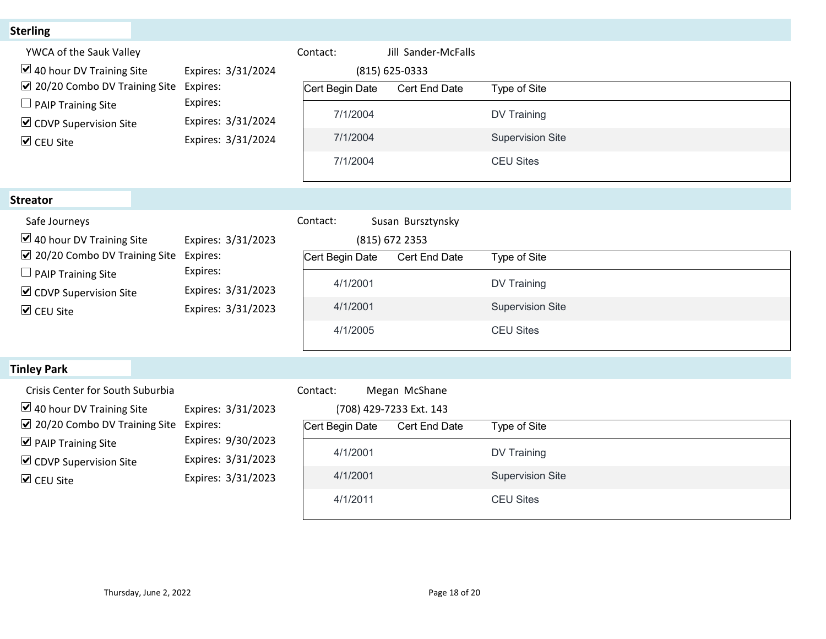| <b>Sterling</b>                                                                                            |                                          |                               |                                                           |                                             |
|------------------------------------------------------------------------------------------------------------|------------------------------------------|-------------------------------|-----------------------------------------------------------|---------------------------------------------|
| YWCA of the Sauk Valley<br>$\triangleright$ 40 hour DV Training Site                                       | Expires: 3/31/2024                       | Contact:                      | Jill Sander-McFalls<br>(815) 625-0333                     |                                             |
| ☑ 20/20 Combo DV Training Site<br>$\Box$ PAIP Training Site                                                | Expires:<br>Expires:                     | Cert Begin Date<br>7/1/2004   | Cert End Date                                             | Type of Site<br><b>DV Training</b>          |
| $\triangleright$ CDVP Supervision Site<br>$\triangledown$ CEU Site                                         | Expires: 3/31/2024<br>Expires: 3/31/2024 | 7/1/2004<br>7/1/2004          |                                                           | <b>Supervision Site</b><br><b>CEU Sites</b> |
|                                                                                                            |                                          |                               |                                                           |                                             |
| <b>Streator</b><br>Safe Journeys<br>$\vee$ 40 hour DV Training Site                                        | Expires: 3/31/2023                       | Contact:                      | Susan Bursztynsky<br>(815) 672 2353                       |                                             |
| ☑ 20/20 Combo DV Training Site                                                                             | Expires:<br>Expires:                     | Cert Begin Date Cert End Date |                                                           | Type of Site                                |
| $\Box$ PAIP Training Site<br>$\triangleright$ CDVP Supervision Site                                        | Expires: 3/31/2023                       | 4/1/2001                      |                                                           | DV Training                                 |
| $\triangledown$ CEU Site                                                                                   | Expires: 3/31/2023                       | 4/1/2001                      |                                                           | <b>Supervision Site</b>                     |
|                                                                                                            |                                          | 4/1/2005                      |                                                           | <b>CEU Sites</b>                            |
| <b>Tinley Park</b>                                                                                         |                                          |                               |                                                           |                                             |
| Crisis Center for South Suburbia<br>$\boxtimes$ 40 hour DV Training Site<br>☑ 20/20 Combo DV Training Site | Expires: 3/31/2023<br>Expires:           | Contact:<br>Cert Begin Date   | Megan McShane<br>(708) 429-7233 Ext. 143<br>Cert End Date | Type of Site                                |
| $\triangleright$ PAIP Training Site                                                                        | Expires: 9/30/2023                       | 4/1/2001                      |                                                           | <b>DV Training</b>                          |
| $\triangleright$ CDVP Supervision Site<br>$\triangledown$ CEU Site                                         | Expires: 3/31/2023<br>Expires: 3/31/2023 | 4/1/2001                      |                                                           | <b>Supervision Site</b>                     |
|                                                                                                            |                                          | 4/1/2011                      |                                                           | <b>CEU Sites</b>                            |

| Crisis Center for South Suburbia        |                    | Contact:        | Megan McShane           |                         |
|-----------------------------------------|--------------------|-----------------|-------------------------|-------------------------|
| $\vee$ 40 hour DV Training Site         | Expires: 3/31/2023 |                 | [708) 429-7233 Ext. 143 |                         |
| $\sqrt{2}$ 20/20 Combo DV Training Site | Expires:           | Cert Begin Date | <b>Cert End Date</b>    | Type of Site            |
| $\triangleright$ PAIP Training Site     | Expires: 9/30/2023 |                 |                         |                         |
| $\triangleright$ CDVP Supervision Site  | Expires: 3/31/2023 | 4/1/2001        |                         | DV Training             |
| $\triangleright$ CEU Site               | Expires: 3/31/2023 | 4/1/2001        |                         | <b>Supervision Site</b> |
|                                         |                    | A/1/2011        |                         | CELL Sites              |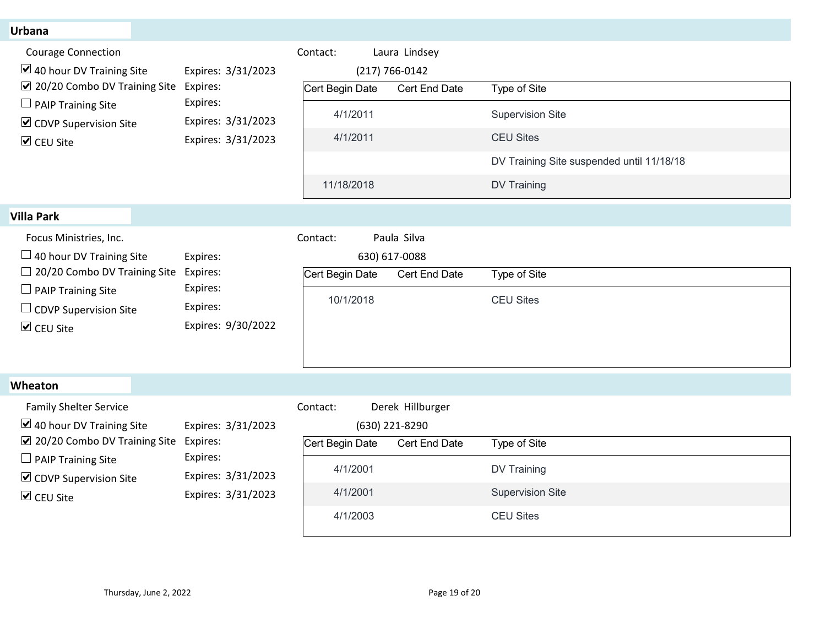| <b>Urbana</b>                                                                                                                                                                                         |                                                                            |                 |                                     |                                           |
|-------------------------------------------------------------------------------------------------------------------------------------------------------------------------------------------------------|----------------------------------------------------------------------------|-----------------|-------------------------------------|-------------------------------------------|
| <b>Courage Connection</b>                                                                                                                                                                             |                                                                            | Contact:        | Laura Lindsey                       |                                           |
| $\blacktriangleright$ 40 hour DV Training Site<br>$\sqrt{2}$ 20/20 Combo DV Training Site                                                                                                             | Expires: 3/31/2023<br>Expires:                                             | Cert Begin Date | $(217) 766 - 0142$<br>Cert End Date | Type of Site                              |
| $\Box$ PAIP Training Site                                                                                                                                                                             | Expires:                                                                   | 4/1/2011        |                                     | <b>Supervision Site</b>                   |
| $\triangleright$ CDVP Supervision Site<br><b>▽</b> CEU Site                                                                                                                                           | Expires: 3/31/2023<br>Expires: 3/31/2023                                   | 4/1/2011        |                                     | <b>CEU Sites</b>                          |
|                                                                                                                                                                                                       |                                                                            |                 |                                     | DV Training Site suspended until 11/18/18 |
|                                                                                                                                                                                                       |                                                                            | 11/18/2018      |                                     | <b>DV Training</b>                        |
|                                                                                                                                                                                                       |                                                                            |                 |                                     |                                           |
| <b>Villa Park</b>                                                                                                                                                                                     |                                                                            |                 |                                     |                                           |
| Focus Ministries, Inc.<br>$\Box$ 40 hour DV Training Site<br>Expires:<br>$\Box$ 20/20 Combo DV Training Site Expires:                                                                                 |                                                                            | Contact:        | Paula Silva<br>630) 617-0088        |                                           |
|                                                                                                                                                                                                       | Expires:                                                                   | Cert Begin Date | Cert End Date                       | Type of Site                              |
| $\Box$ PAIP Training Site                                                                                                                                                                             |                                                                            | 10/1/2018       |                                     | <b>CEU Sites</b>                          |
| $\Box$ CDVP Supervision Site                                                                                                                                                                          | Expires:                                                                   |                 |                                     |                                           |
| $\triangledown$ CEU Site                                                                                                                                                                              | Expires: 9/30/2022                                                         |                 |                                     |                                           |
|                                                                                                                                                                                                       |                                                                            |                 |                                     |                                           |
| Wheaton                                                                                                                                                                                               |                                                                            |                 |                                     |                                           |
| <b>Family Shelter Service</b>                                                                                                                                                                         |                                                                            | Contact:        | Derek Hillburger                    |                                           |
| $\blacktriangleright$ 40 hour DV Training Site<br>$\sqrt{2}$ 20/20 Combo DV Training Site Expires:<br>$\Box$ PAIP Training Site<br>$\triangleright$ CDVP Supervision Site<br>$\triangledown$ CEU Site | Expires: 3/31/2023<br>Expires:<br>Expires: 3/31/2023<br>Expires: 3/31/2023 |                 | (630) 221-8290                      |                                           |
|                                                                                                                                                                                                       |                                                                            | Cert Begin Date | Cert End Date                       | Type of Site                              |
|                                                                                                                                                                                                       |                                                                            | 4/1/2001        |                                     | DV Training                               |
|                                                                                                                                                                                                       |                                                                            | 4/1/2001        |                                     | <b>Supervision Site</b>                   |
|                                                                                                                                                                                                       |                                                                            |                 |                                     | <b>CEU Sites</b>                          |